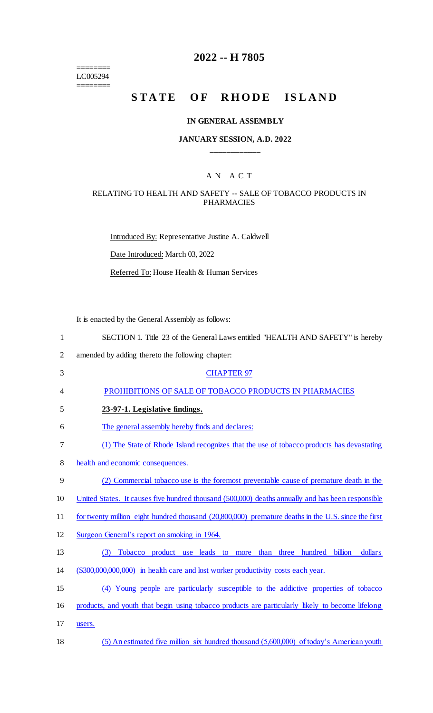======== LC005294 ========

# **2022 -- H 7805**

# STATE OF RHODE ISLAND

#### **IN GENERAL ASSEMBLY**

### **JANUARY SESSION, A.D. 2022 \_\_\_\_\_\_\_\_\_\_\_\_**

### A N A C T

### RELATING TO HEALTH AND SAFETY -- SALE OF TOBACCO PRODUCTS IN PHARMACIES

Introduced By: Representative Justine A. Caldwell Date Introduced: March 03, 2022 Referred To: House Health & Human Services

It is enacted by the General Assembly as follows:

| 1              | SECTION 1. Title 23 of the General Laws entitled "HEALTH AND SAFETY" is hereby                      |
|----------------|-----------------------------------------------------------------------------------------------------|
| $\overline{2}$ | amended by adding thereto the following chapter:                                                    |
| 3              | <b>CHAPTER 97</b>                                                                                   |
| 4              | PROHIBITIONS OF SALE OF TOBACCO PRODUCTS IN PHARMACIES                                              |
| 5              | 23-97-1. Legislative findings.                                                                      |
| 6              | The general assembly hereby finds and declares:                                                     |
| 7              | (1) The State of Rhode Island recognizes that the use of tobacco products has devastating           |
| 8              | health and economic consequences.                                                                   |
| 9              | (2) Commercial tobacco use is the foremost preventable cause of premature death in the              |
| 10             | United States. It causes five hundred thousand (500,000) deaths annually and has been responsible   |
| 11             | for twenty million eight hundred thousand (20,800,000) premature deaths in the U.S. since the first |
| 12             | Surgeon General's report on smoking in 1964.                                                        |
| 13             | Tobacco product use leads to<br>than three hundred billion<br>dollars<br>(3)<br>more                |
| 14             | (\$300,000,000,000) in health care and lost worker productivity costs each year.                    |
| 15             | (4) Young people are particularly susceptible to the addictive properties of tobacco                |
| 16             | products, and youth that begin using tobacco products are particularly likely to become lifelong    |
| 17             | users.                                                                                              |
| 18             | (5) An estimated five million six hundred thousand (5,600,000) of today's American youth            |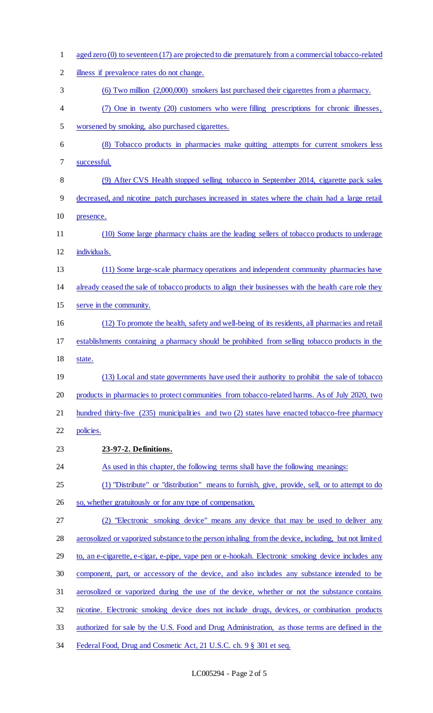| $\mathbf{1}$   | aged zero (0) to seventeen (17) are projected to die prematurely from a commercial tobacco-related    |
|----------------|-------------------------------------------------------------------------------------------------------|
| $\overline{2}$ | illness if prevalence rates do not change.                                                            |
| 3              | (6) Two million (2,000,000) smokers last purchased their cigarettes from a pharmacy.                  |
| 4              | (7) One in twenty (20) customers who were filling prescriptions for chronic illnesses,                |
| 5              | worsened by smoking, also purchased cigarettes.                                                       |
| 6              | (8) Tobacco products in pharmacies make quitting attempts for current smokers less                    |
| 7              | successful.                                                                                           |
| 8              | (9) After CVS Health stopped selling tobacco in September 2014, cigarette pack sales                  |
| 9              | decreased, and nicotine patch purchases increased in states where the chain had a large retail        |
| 10             | presence.                                                                                             |
| 11             | (10) Some large pharmacy chains are the leading sellers of tobacco products to underage               |
| 12             | individuals.                                                                                          |
| 13             | (11) Some large-scale pharmacy operations and independent community pharmacies have                   |
| 14             | already ceased the sale of tobacco products to align their businesses with the health care role they  |
| 15             | serve in the community.                                                                               |
| 16             | (12) To promote the health, safety and well-being of its residents, all pharmacies and retail         |
| 17             | establishments containing a pharmacy should be prohibited from selling tobacco products in the        |
| 18             | state.                                                                                                |
| 19             | (13) Local and state governments have used their authority to prohibit the sale of tobacco            |
| 20             | products in pharmacies to protect communities from tobacco-related harms. As of July 2020, two        |
| 21             | hundred thirty-five (235) municipalities and two (2) states have enacted tobacco-free pharmacy        |
| 22             | policies.                                                                                             |
| 23             | 23-97-2. Definitions.                                                                                 |
| 24             | As used in this chapter, the following terms shall have the following meanings:                       |
| 25             | (1) "Distribute" or "distribution" means to furnish, give, provide, sell, or to attempt to do         |
| 26             | so, whether gratuitously or for any type of compensation.                                             |
| 27             | (2) "Electronic smoking device" means any device that may be used to deliver any                      |
| 28             | aerosolized or vaporized substance to the person inhaling from the device, including, but not limited |
| 29             | to, an e-cigarette, e-cigar, e-pipe, vape pen or e-hookah. Electronic smoking device includes any     |
| 30             | component, part, or accessory of the device, and also includes any substance intended to be           |
| 31             | aerosolized or vaporized during the use of the device, whether or not the substance contains          |
| 32             | nicotine. Electronic smoking device does not include drugs, devices, or combination products          |
| 33             | authorized for sale by the U.S. Food and Drug Administration, as those terms are defined in the       |
| 34             | Federal Food, Drug and Cosmetic Act, 21 U.S.C. ch. 9 § 301 et seq.                                    |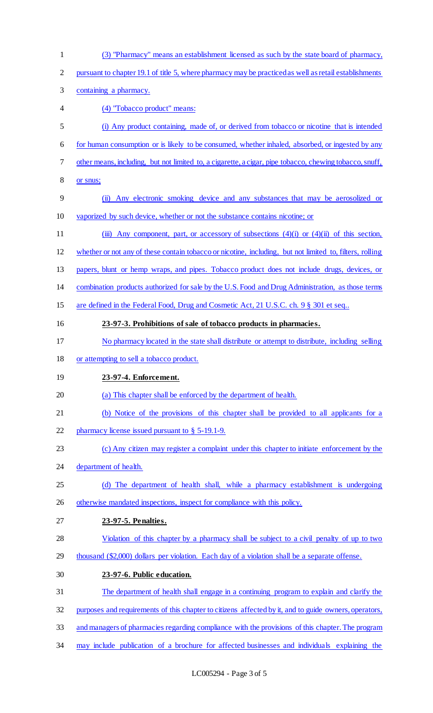(3) "Pharmacy" means an establishment licensed as such by the state board of pharmacy, pursuant to chapter 19.1 of title 5, where pharmacy may be practiced as well as retail establishments containing a pharmacy. (4) "Tobacco product" means: (i) Any product containing, made of, or derived from tobacco or nicotine that is intended for human consumption or is likely to be consumed, whether inhaled, absorbed, or ingested by any other means, including, but not limited to, a cigarette, a cigar, pipe tobacco, chewing tobacco, snuff, or snus; (ii) Any electronic smoking device and any substances that may be aerosolized or vaporized by such device, whether or not the substance contains nicotine; or 11 (iii) Any component, part, or accessory of subsections (4)(i) or (4)(ii) of this section, whether or not any of these contain tobacco or nicotine, including, but not limited to, filters, rolling papers, blunt or hemp wraps, and pipes. Tobacco product does not include drugs, devices, or combination products authorized for sale by the U.S. Food and Drug Administration, as those terms 15 are defined in the Federal Food, Drug and Cosmetic Act, 21 U.S.C. ch. 9 § 301 et seq.. **23-97-3. Prohibitions of sale of tobacco products in pharmacies.**  No pharmacy located in the state shall distribute or attempt to distribute, including selling or attempting to sell a tobacco product. **23-97-4. Enforcement.**  (a) This chapter shall be enforced by the department of health. (b) Notice of the provisions of this chapter shall be provided to all applicants for a 22 pharmacy license issued pursuant to § 5-19.1-9. (c) Any citizen may register a complaint under this chapter to initiate enforcement by the 24 department of health. (d) The department of health shall, while a pharmacy establishment is undergoing 26 otherwise mandated inspections, inspect for compliance with this policy. **23-97-5. Penalties.**  Violation of this chapter by a pharmacy shall be subject to a civil penalty of up to two thousand (\$2,000) dollars per violation. Each day of a violation shall be a separate offense. **23-97-6. Public education.**  The department of health shall engage in a continuing program to explain and clarify the purposes and requirements of this chapter to citizens affected by it, and to guide owners, operators, and managers of pharmacies regarding compliance with the provisions of this chapter. The program may include publication of a brochure for affected businesses and individuals explaining the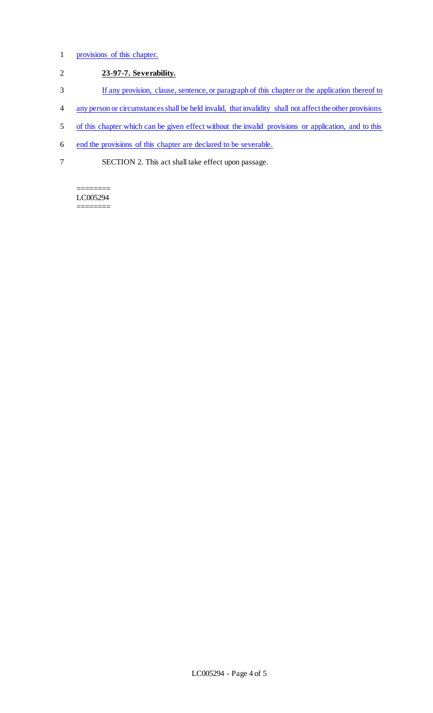## 1 provisions of this chapter.

# 2 **23-97-7. Severability.**

- 3 If any provision, clause, sentence, or paragraph of this chapter or the application thereof to
- 4 any person or circumstances shall be held invalid, that invalidity shall not affect the other provisions
- 5 of this chapter which can be given effect without the invalid provisions or application, and to this
- 6 end the provisions of this chapter are declared to be severable.
- 7 SECTION 2. This act shall take effect upon passage.

======== LC005294 ========